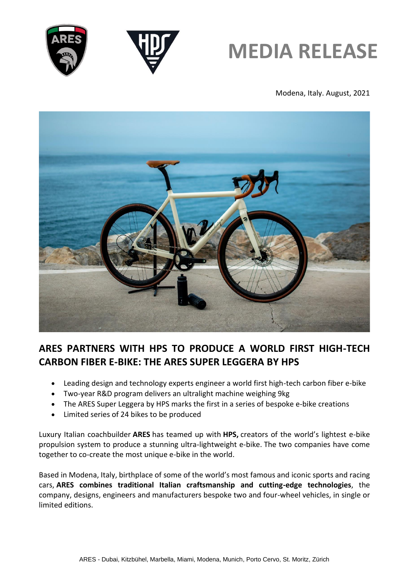



Modena, Italy. August, 2021



## **ARES PARTNERS WITH HPS TO PRODUCE A WORLD FIRST HIGH-TECH CARBON FIBER E-BIKE: THE ARES SUPER LEGGERA BY HPS**

- Leading design and technology experts engineer a world first high-tech carbon fiber e-bike
- Two-year R&D program delivers an ultralight machine weighing 9kg
- The ARES Super Leggera by HPS marks the first in a series of bespoke e-bike creations
- Limited series of 24 bikes to be produced

Luxury Italian coachbuilder **ARES** has teamed up with **HPS,** creators of the world's lightest e-bike propulsion system to produce a stunning ultra-lightweight e-bike. The two companies have come together to co-create the most unique e-bike in the world.

Based in Modena, Italy, birthplace of some of the world's most famous and iconic sports and racing cars, **ARES combines traditional Italian craftsmanship and cutting-edge technologies**, the company, designs, engineers and manufacturers bespoke two and four-wheel vehicles, in single or limited editions.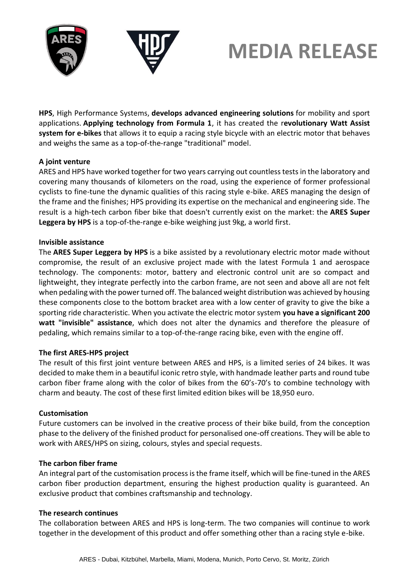



**HPS**, High Performance Systems, **develops advanced engineering solutions** for mobility and sport applications. **Applying technology from Formula 1**, it has created the r**evolutionary Watt Assist system for e-bikes** that allows it to equip a racing style bicycle with an electric motor that behaves and weighs the same as a top-of-the-range "traditional" model.

### **A joint venture**

ARES and HPS have worked together for two years carrying out countless tests in the laboratory and covering many thousands of kilometers on the road, using the experience of former professional cyclists to fine-tune the dynamic qualities of this racing style e-bike. ARES managing the design of the frame and the finishes; HPS providing its expertise on the mechanical and engineering side. The result is a high-tech carbon fiber bike that doesn't currently exist on the market: the **ARES Super Leggera by HPS** is a top-of-the-range e-bike weighing just 9kg, a world first.

### **Invisible assistance**

The **ARES Super Leggera by HPS** is a bike assisted by a revolutionary electric motor made without compromise, the result of an exclusive project made with the latest Formula 1 and aerospace technology. The components: motor, battery and electronic control unit are so compact and lightweight, they integrate perfectly into the carbon frame, are not seen and above all are not felt when pedaling with the power turned off. The balanced weight distribution was achieved by housing these components close to the bottom bracket area with a low center of gravity to give the bike a sporting ride characteristic. When you activate the electric motor system **you have a significant 200 watt "invisible" assistance**, which does not alter the dynamics and therefore the pleasure of pedaling, which remains similar to a top-of-the-range racing bike, even with the engine off.

## **The first ARES-HPS project**

The result of this first joint venture between ARES and HPS, is a limited series of 24 bikes. It was decided to make them in a beautiful iconic retro style, with handmade leather parts and round tube carbon fiber frame along with the color of bikes from the 60's-70's to combine technology with charm and beauty. The cost of these first limited edition bikes will be 18,950 euro.

### **Customisation**

Future customers can be involved in the creative process of their bike build, from the conception phase to the delivery of the finished product for personalised one-off creations. They will be able to work with ARES/HPS on sizing, colours, styles and special requests.

### **The carbon fiber frame**

An integral part of the customisation process is the frame itself, which will be fine-tuned in the ARES carbon fiber production department, ensuring the highest production quality is guaranteed. An exclusive product that combines craftsmanship and technology.

### **The research continues**

The collaboration between ARES and HPS is long-term. The two companies will continue to work together in the development of this product and offer something other than a racing style e-bike.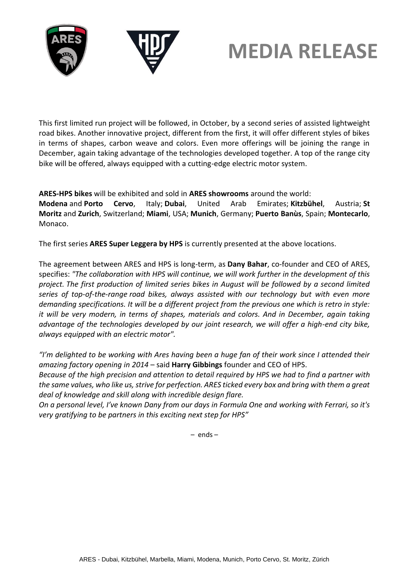

This first limited run project will be followed, in October, by a second series of assisted lightweight road bikes. Another innovative project, different from the first, it will offer different styles of bikes in terms of shapes, carbon weave and colors. Even more offerings will be joining the range in December, again taking advantage of the technologies developed together. A top of the range city bike will be offered, always equipped with a cutting-edge electric motor system.

**ARES-HPS bikes** will be exhibited and sold in **ARES showrooms** around the world:

**Modena** and **Porto Cervo**, Italy; **Dubai**, United Arab Emirates; **Kitzbühel**, Austria; **St Moritz** and **Zurich**, Switzerland; **Miami**, USA; **Munich**, Germany; **Puerto Banùs**, Spain; **Montecarlo**, Monaco.

The first series **ARES Super Leggera by HPS** is currently presented at the above locations.

The agreement between ARES and HPS is long-term, as **Dany Bahar**, co-founder and CEO of ARES, specifies: *"The collaboration with HPS will continue, we will work further in the development of this project. The first production of limited series bikes in August will be followed by a second limited series of top-of-the-range road bikes, always assisted with our technology but with even more demanding specifications. It will be a different project from the previous one which is retro in style: it will be very modern, in terms of shapes, materials and colors. And in December, again taking advantage of the technologies developed by our joint research, we will offer a high-end city bike, always equipped with an electric motor".*

*"I'm delighted to be working with Ares having been a huge fan of their work since I attended their amazing factory opening in 2014* – said **Harry Gibbings** founder and CEO of HPS.

*Because of the high precision and attention to detail required by HPS we had to find a partner with the same values, who like us, strive for perfection. ARES ticked every box and bring with them a great deal of knowledge and skill along with incredible design flare.*

*On a personal level, I've known Dany from our days in Formula One and working with Ferrari, so it's very gratifying to be partners in this exciting next step for HPS"*

– ends –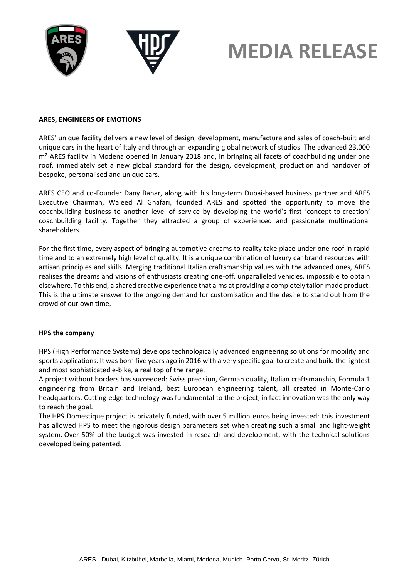



#### **ARES, ENGINEERS OF EMOTIONS**

ARES' unique facility delivers a new level of design, development, manufacture and sales of coach-built and unique cars in the heart of Italy and through an expanding global network of studios. The advanced 23,000 m<sup>2</sup> ARES facility in Modena opened in January 2018 and, in bringing all facets of coachbuilding under one roof, immediately set a new global standard for the design, development, production and handover of bespoke, personalised and unique cars.

ARES CEO and co-Founder Dany Bahar, along with his long-term Dubai-based business partner and ARES Executive Chairman, Waleed Al Ghafari, founded ARES and spotted the opportunity to move the coachbuilding business to another level of service by developing the world's first 'concept-to-creation' coachbuilding facility. Together they attracted a group of experienced and passionate multinational shareholders.

For the first time, every aspect of bringing automotive dreams to reality take place under one roof in rapid time and to an extremely high level of quality. It is a unique combination of luxury car brand resources with artisan principles and skills. Merging traditional Italian craftsmanship values with the advanced ones, ARES realises the dreams and visions of enthusiasts creating one-off, unparalleled vehicles, impossible to obtain elsewhere. To this end, a shared creative experience that aims at providing a completely tailor-made product. This is the ultimate answer to the ongoing demand for customisation and the desire to stand out from the crowd of our own time.

#### **HPS the company**

HPS (High Performance Systems) develops technologically advanced engineering solutions for mobility and sports applications. It was born five years ago in 2016 with a very specific goal to create and build the lightest and most sophisticated e-bike, a real top of the range.

A project without borders has succeeded: Swiss precision, German quality, Italian craftsmanship, Formula 1 engineering from Britain and Ireland, best European engineering talent, all created in Monte-Carlo headquarters. Cutting-edge technology was fundamental to the project, in fact innovation was the only way to reach the goal.

The HPS Domestique project is privately funded, with over 5 million euros being invested: this investment has allowed HPS to meet the rigorous design parameters set when creating such a small and light-weight system. Over 50% of the budget was invested in research and development, with the technical solutions developed being patented.